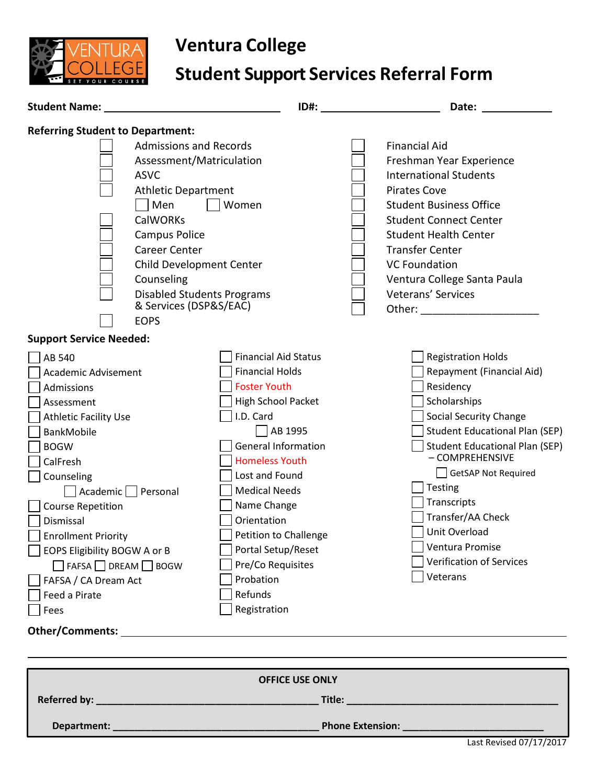

## **Ventura College**

## **Student Support Services Referral Form**

| Student Name: _                                                                                                                                                                                                                                                                                                                                                                                                                                      | ID#:                                                                                                                                                                                                                                                                                                                                                                         | Date:                                                                                                                                                                                                                                                                                                                                                                                     |  |  |
|------------------------------------------------------------------------------------------------------------------------------------------------------------------------------------------------------------------------------------------------------------------------------------------------------------------------------------------------------------------------------------------------------------------------------------------------------|------------------------------------------------------------------------------------------------------------------------------------------------------------------------------------------------------------------------------------------------------------------------------------------------------------------------------------------------------------------------------|-------------------------------------------------------------------------------------------------------------------------------------------------------------------------------------------------------------------------------------------------------------------------------------------------------------------------------------------------------------------------------------------|--|--|
| <b>Referring Student to Department:</b><br><b>ASVC</b><br>Men<br><b>CalWORKs</b><br>Campus Police<br><b>Career Center</b><br>Counseling<br><b>EOPS</b>                                                                                                                                                                                                                                                                                               | <b>Admissions and Records</b><br>Assessment/Matriculation<br><b>Athletic Department</b><br>Women<br>Child Development Center<br><b>Disabled Students Programs</b><br>& Services (DSP&S/EAC)                                                                                                                                                                                  | <b>Financial Aid</b><br>Freshman Year Experience<br><b>International Students</b><br><b>Pirates Cove</b><br><b>Student Business Office</b><br><b>Student Connect Center</b><br><b>Student Health Center</b><br><b>Transfer Center</b><br><b>VC Foundation</b><br>Ventura College Santa Paula<br><b>Veterans' Services</b>                                                                 |  |  |
| <b>Support Service Needed:</b><br>AB 540<br><b>Academic Advisement</b><br>Admissions<br>Assessment<br><b>Athletic Facility Use</b><br><b>BankMobile</b><br><b>BOGW</b><br>CalFresh<br>Counseling<br>Academic $\Box$<br>Personal<br><b>Course Repetition</b><br>Dismissal<br>Finrollment Priority<br>EOPS Eligibility BOGW A or B<br>$\Box$ FAFSA $\Box$ DREAM $\Box$ BOGW<br>FAFSA / CA Dream Act<br>Feed a Pirate<br>Fees<br><b>Other/Comments:</b> | <b>Financial Aid Status</b><br><b>Financial Holds</b><br><b>Foster Youth</b><br><b>High School Packet</b><br>I.D. Card<br>AB 1995<br><b>General Information</b><br><b>Homeless Youth</b><br>Lost and Found<br><b>Medical Needs</b><br>Name Change<br>Orientation<br>Petition to Challenge<br>Portal Setup/Reset<br>Pre/Co Requisites<br>Probation<br>Refunds<br>Registration | <b>Registration Holds</b><br>Repayment (Financial Aid)<br>Residency<br>Scholarships<br><b>Social Security Change</b><br><b>Student Educational Plan (SEP)</b><br><b>Student Educational Plan (SEP)</b><br>- COMPREHENSIVE<br><b>GetSAP Not Required</b><br>Testing<br>Transcripts<br>Transfer/AA Check<br>Unit Overload<br>Ventura Promise<br><b>Verification of Services</b><br>Veterans |  |  |
| <b>OFFICE USE ONLY</b>                                                                                                                                                                                                                                                                                                                                                                                                                               |                                                                                                                                                                                                                                                                                                                                                                              |                                                                                                                                                                                                                                                                                                                                                                                           |  |  |

Department:

**Phone Extension: \_**